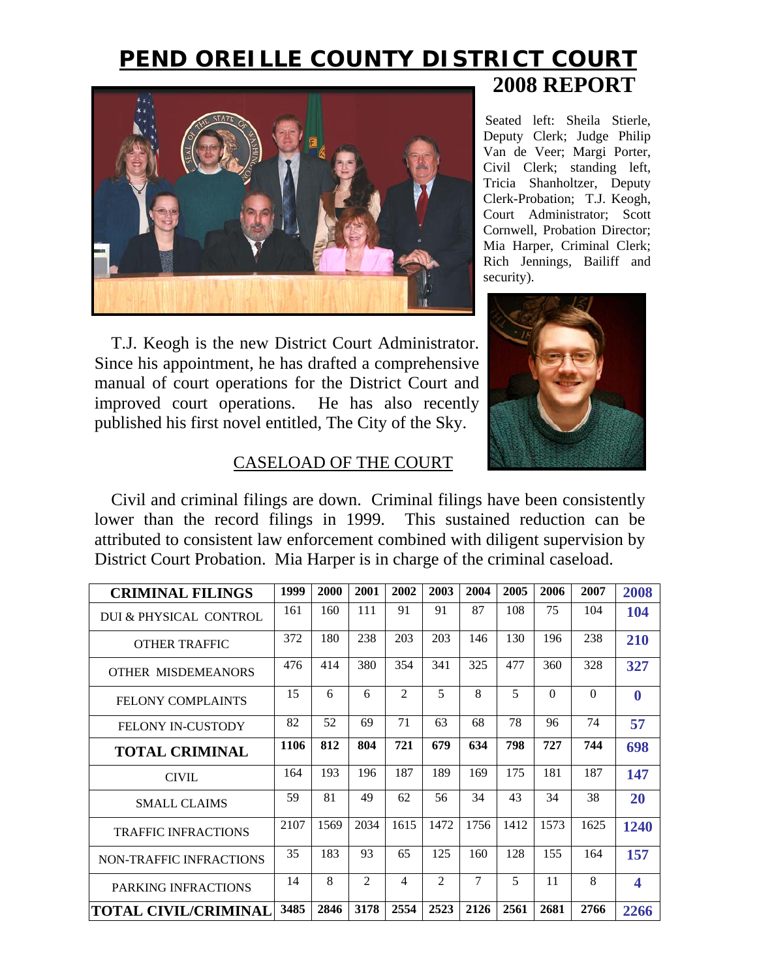# **PEND OREILLE COUNTY DISTRICT COURT 2008 REPORT**



T.J. Keogh is the new District Court Administrator. Since his appointment, he has drafted a comprehensive manual of court operations for the District Court and improved court operations. He has also recently published his first novel entitled, The City of the Sky.

Seated left: Sheila Stierle, Deputy Clerk; Judge Philip Van de Veer; Margi Porter, Civil Clerk; standing left, Tricia Shanholtzer, Deputy Clerk-Probation; T.J. Keogh, Court Administrator; Scott Cornwell, Probation Director; Mia Harper, Criminal Clerk; Rich Jennings, Bailiff and security).



## CASELOAD OF THE COURT

Civil and criminal filings are down. Criminal filings have been consistently lower than the record filings in 1999. This sustained reduction can be attributed to consistent law enforcement combined with diligent supervision by District Court Probation. Mia Harper is in charge of the criminal caseload.

| <b>CRIMINAL FILINGS</b>     | 1999 | 2000 | 2001 | 2002           | 2003           | 2004 | 2005 | 2006     | 2007     | 2008                    |
|-----------------------------|------|------|------|----------------|----------------|------|------|----------|----------|-------------------------|
| DUI & PHYSICAL CONTROL      | 161  | 160  | 111  | 91             | 91             | 87   | 108  | 75       | 104      | 104                     |
| <b>OTHER TRAFFIC</b>        | 372  | 180  | 238  | 203            | 203            | 146  | 130  | 196      | 238      | 210                     |
| OTHER MISDEMEANORS          | 476  | 414  | 380  | 354            | 341            | 325  | 477  | 360      | 328      | 327                     |
| <b>FELONY COMPLAINTS</b>    | 15   | 6    | 6    | $\mathfrak{D}$ | 5              | 8    | 5    | $\Omega$ | $\Omega$ | $\bf{0}$                |
| <b>FELONY IN-CUSTODY</b>    | 82   | 52   | 69   | 71             | 63             | 68   | 78   | 96       | 74       | 57                      |
| <b>TOTAL CRIMINAL</b>       | 1106 | 812  | 804  | 721            | 679            | 634  | 798  | 727      | 744      | 698                     |
| <b>CIVIL</b>                | 164  | 193  | 196  | 187            | 189            | 169  | 175  | 181      | 187      | 147                     |
| <b>SMALL CLAIMS</b>         | 59   | 81   | 49   | 62             | 56             | 34   | 43   | 34       | 38       | <b>20</b>               |
| <b>TRAFFIC INFRACTIONS</b>  | 2107 | 1569 | 2034 | 1615           | 1472           | 1756 | 1412 | 1573     | 1625     | 1240                    |
| NON-TRAFFIC INFRACTIONS     | 35   | 183  | 93   | 65             | 125            | 160  | 128  | 155      | 164      | 157                     |
| PARKING INFRACTIONS         | 14   | 8    | 2    | 4              | $\mathfrak{D}$ | 7    | 5    | 11       | 8        | $\overline{\mathbf{4}}$ |
| <b>TOTAL CIVIL/CRIMINAL</b> | 3485 | 2846 | 3178 | 2554           | 2523           | 2126 | 2561 | 2681     | 2766     | 2266                    |